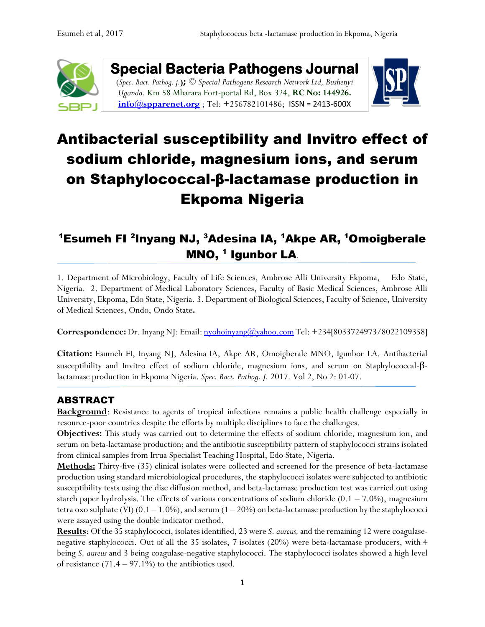

**Special Bacteria Pathogens Journal**  (*Spec. Bact. Pathog. j.***);** *© Special Pathogens Research Network Ltd, Bushenyi Uganda.* Km 58 Mbarara Fort-portal Rd, Box 324, **RC No: 144926. [info@spparenet.org](mailto:info@spparenet.org)** ; Tel: +256782101486; [ISSN = 2413-600X](https://www.google.com/url?sa=t&rct=j&q=&esrc=s&source=web&cd=1&cad=rja&uact=8&ved=0ahUKEwiFp5Ggge_XAhWpAsAKHapIARsQFggqMAA&url=http%3A%2F%2Fwww.spparenet.us%2FSBPJ%2Fscope%2F&usg=AOvVaw3D79hMirI6WLP01DNutMuL)



# Antibacterial susceptibility and Invitro effect of sodium chloride, magnesium ions, and serum on Staphylococcal-β-lactamase production in Ekpoma Nigeria

# <sup>1</sup>Esumeh FI <sup>2</sup>Inyang NJ, <sup>3</sup>Adesina IA, <sup>1</sup>Akpe AR, <sup>1</sup>Omoigberale MNO, <sup>1</sup> Igunbor LA.

1. Department of Microbiology, Faculty of Life Sciences, Ambrose Alli University Ekpoma, Edo State, Nigeria. 2. Department of Medical Laboratory Sciences, Faculty of Basic Medical Sciences, Ambrose Alli University, Ekpoma, Edo State, Nigeria. 3. Department of Biological Sciences, Faculty of Science, University of Medical Sciences, Ondo, Ondo State**.** 

**Correspondence:** Dr. Inyang NJ: Email: <u>nyohoinyang@yahoo.com</u> Tel: +234[8033724973/8022109358]

**Citation:** Esumeh FI, Inyang NJ, Adesina IA, Akpe AR, Omoigberale MNO, Igunbor LA. Antibacterial susceptibility and Invitro effect of sodium chloride, magnesium ions, and serum on Staphylococcal-βlactamase production in Ekpoma Nigeria. *Spec. Bact. Pathog. J.* 2017. Vol 2, No 2: 01-07.

## ABSTRACT

**Background**: Resistance to agents of tropical infections remains a public health challenge especially in resource-poor countries despite the efforts by multiple disciplines to face the challenges.

**Objectives:** This study was carried out to determine the effects of sodium chloride, magnesium ion, and serum on beta-lactamase production; and the antibiotic susceptibility pattern of staphylococci strains isolated from clinical samples from Irrua Specialist Teaching Hospital, Edo State, Nigeria.

**Methods:** Thirty-five (35) clinical isolates were collected and screened for the presence of beta-lactamase production using standard microbiological procedures, the staphylococci isolates were subjected to antibiotic susceptibility tests using the disc diffusion method, and beta-lactamase production test was carried out using starch paper hydrolysis. The effects of various concentrations of sodium chloride  $(0.1 - 7.0\%)$ , magnesium tetra oxo sulphate (VI)  $(0.1 - 1.0\%)$ , and serum  $(1 - 20\%)$  on beta-lactamase production by the staphylococci were assayed using the double indicator method.

**Results**: Of the 35 staphylococci, isolates identified, 23 were *S. aureus,*and the remaining 12 were coagulasenegative staphylococci. Out of all the 35 isolates, 7 isolates (20%) were beta-lactamase producers, with 4 being *S. aureus* and 3 being coagulase-negative staphylococci. The staphylococci isolates showed a high level of resistance  $(71.4 - 97.1\%)$  to the antibiotics used.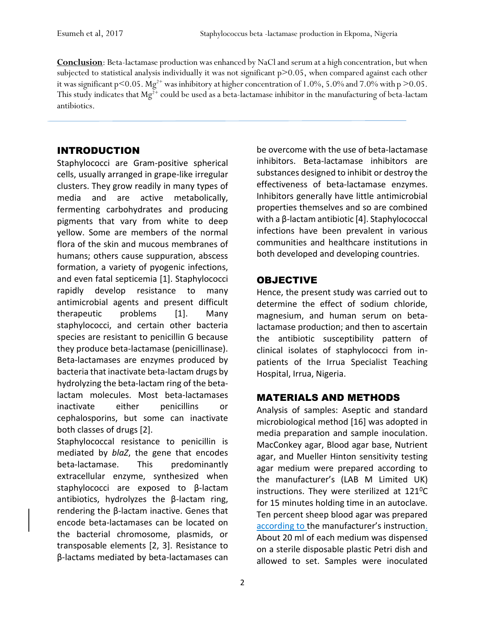**Conclusion**: Beta-lactamase production was enhanced by NaCl and serum at a high concentration, but when subjected to statistical analysis individually it was not significant p>0.05, when compared against each other it was significant p < 0.05. Mg<sup>2+</sup> was inhibitory at higher concentration of 1.0%, 5.0% and 7.0% with p > 0.05. This study indicates that  $Mg^{2+}$  could be used as a beta-lactamase inhibitor in the manufacturing of beta-lactam antibiotics.

#### INTRODUCTION

Staphylococci are Gram-positive spherical cells, usually arranged in grape-like irregular clusters. They grow readily in many types of media and are active metabolically, fermenting carbohydrates and producing pigments that vary from white to deep yellow. Some are members of the normal flora of the skin and mucous membranes of humans; others cause suppuration, abscess formation, a variety of pyogenic infections, and even fatal septicemia [1]. Staphylococci rapidly develop resistance to many antimicrobial agents and present difficult therapeutic problems [1]. Many staphylococci, and certain other bacteria species are resistant to penicillin G because they produce beta-lactamase (penicillinase). Beta-lactamases are enzymes produced by bacteria that inactivate beta-lactam drugs by hydrolyzing the beta-lactam ring of the betalactam molecules. Most beta-lactamases inactivate either penicillins or cephalosporins, but some can inactivate both classes of drugs [2].

Staphylococcal resistance to penicillin is mediated by *blaZ*, the gene that encodes beta-lactamase. This predominantly extracellular enzyme, synthesized when staphylococci are exposed to β-lactam antibiotics, hydrolyzes the β-lactam ring, rendering the β-lactam inactive. Genes that encode beta-lactamases can be located on the bacterial chromosome, plasmids, or transposable elements [2, 3]. Resistance to β-lactams mediated by beta-lactamases can

be overcome with the use of beta-lactamase inhibitors. Beta-lactamase inhibitors are substances designed to inhibit or destroy the effectiveness of beta-lactamase enzymes. Inhibitors generally have little antimicrobial properties themselves and so are combined with a β-lactam antibiotic [4]. Staphylococcal infections have been prevalent in various communities and healthcare institutions in both developed and developing countries.

## **OBJECTIVE**

Hence, the present study was carried out to determine the effect of sodium chloride, magnesium, and human serum on betalactamase production; and then to ascertain the antibiotic susceptibility pattern of clinical isolates of staphylococci from inpatients of the Irrua Specialist Teaching Hospital, Irrua, Nigeria.

## MATERIALS AND METHODS

Analysis of samples: Aseptic and standard microbiological method [16] was adopted in media preparation and sample inoculation. MacConkey agar, Blood agar base, Nutrient agar, and Mueller Hinton sensitivity testing agar medium were prepared according to the manufacturer's (LAB M Limited UK) instructions. They were sterilized at  $121^0C$ for 15 minutes holding time in an autoclave. Ten percent sheep blood agar was prepared according to the manufacturer's instruction. About 20 ml of each medium was dispensed on a sterile disposable plastic Petri dish and allowed to set. Samples were inoculated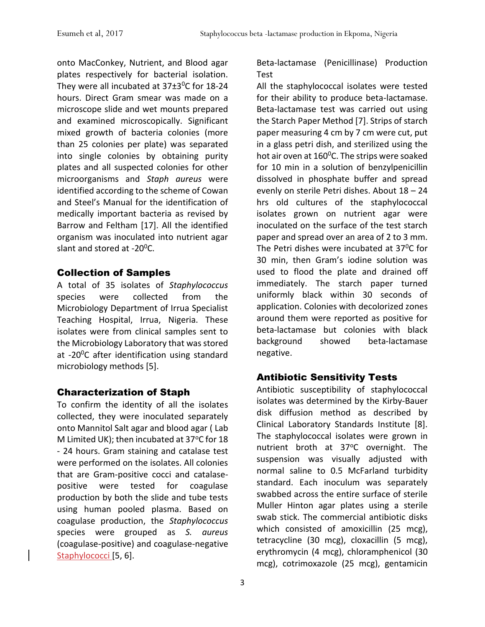onto MacConkey, Nutrient, and Blood agar plates respectively for bacterial isolation. They were all incubated at  $37\pm3\degree$ C for 18-24 hours. Direct Gram smear was made on a microscope slide and wet mounts prepared and examined microscopically. Significant mixed growth of bacteria colonies (more than 25 colonies per plate) was separated into single colonies by obtaining purity plates and all suspected colonies for other microorganisms and *Staph aureus* were identified according to the scheme of Cowan and Steel's Manual for the identification of medically important bacteria as revised by Barrow and Feltham [17]. All the identified organism was inoculated into nutrient agar slant and stored at -20<sup>0</sup>C.

#### Collection of Samples

A total of 35 isolates of *Staphylococcus* species were collected from the Microbiology Department of Irrua Specialist Teaching Hospital, Irrua, Nigeria. These isolates were from clinical samples sent to the Microbiology Laboratory that was stored at -20<sup>0</sup>C after identification using standard microbiology methods [5].

#### Characterization of Staph

To confirm the identity of all the isolates collected, they were inoculated separately onto Mannitol Salt agar and blood agar ( Lab M Limited UK); then incubated at 37°C for 18 - 24 hours. Gram staining and catalase test were performed on the isolates. All colonies that are Gram-positive cocci and catalasepositive were tested for coagulase production by both the slide and tube tests using human pooled plasma. Based on coagulase production, the *Staphylococcus* species were grouped as *S. aureus* (coagulase-positive) and coagulase-negative Staphylococci [5, 6].

Beta-lactamase (Penicillinase) Production Test

All the staphylococcal isolates were tested for their ability to produce beta-lactamase. Beta-lactamase test was carried out using the Starch Paper Method [7]. Strips of starch paper measuring 4 cm by 7 cm were cut, put in a glass petri dish, and sterilized using the hot air oven at 160°C. The strips were soaked for 10 min in a solution of benzylpenicillin dissolved in phosphate buffer and spread evenly on sterile Petri dishes. About 18 – 24 hrs old cultures of the staphylococcal isolates grown on nutrient agar were inoculated on the surface of the test starch paper and spread over an area of 2 to 3 mm. The Petri dishes were incubated at  $37^{\circ}$ C for 30 min, then Gram's iodine solution was used to flood the plate and drained off immediately. The starch paper turned uniformly black within 30 seconds of application. Colonies with decolorized zones around them were reported as positive for beta-lactamase but colonies with black background showed beta-lactamase negative.

## Antibiotic Sensitivity Tests

Antibiotic susceptibility of staphylococcal isolates was determined by the Kirby-Bauer disk diffusion method as described by Clinical Laboratory Standards Institute [8]. The staphylococcal isolates were grown in nutrient broth at 37°C overnight. The suspension was visually adjusted with normal saline to 0.5 McFarland turbidity standard. Each inoculum was separately swabbed across the entire surface of sterile Muller Hinton agar plates using a sterile swab stick. The commercial antibiotic disks which consisted of amoxicillin (25 mcg), tetracycline (30 mcg), cloxacillin (5 mcg), erythromycin (4 mcg), chloramphenicol (30 mcg), cotrimoxazole (25 mcg), gentamicin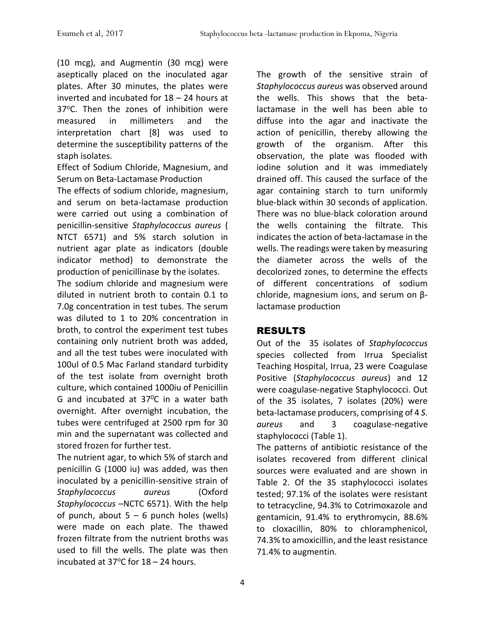(10 mcg), and Augmentin (30 mcg) were aseptically placed on the inoculated agar plates. After 30 minutes, the plates were inverted and incubated for 18 – 24 hours at 37°C. Then the zones of inhibition were measured in millimeters and the interpretation chart [8] was used to determine the susceptibility patterns of the staph isolates.

Effect of Sodium Chloride, Magnesium, and Serum on Beta-Lactamase Production

The effects of sodium chloride, magnesium, and serum on beta-lactamase production were carried out using a combination of penicillin-sensitive *Staphylococcus aureus* ( NTCT 6571) and 5% starch solution in nutrient agar plate as indicators (double indicator method) to demonstrate the production of penicillinase by the isolates.

The sodium chloride and magnesium were diluted in nutrient broth to contain 0.1 to 7.0g concentration in test tubes. The serum was diluted to 1 to 20% concentration in broth, to control the experiment test tubes containing only nutrient broth was added, and all the test tubes were inoculated with 100ul of 0.5 Mac Farland standard turbidity of the test isolate from overnight broth culture, which contained 1000iu of Penicillin G and incubated at  $37^{\circ}$ C in a water bath overnight. After overnight incubation, the tubes were centrifuged at 2500 rpm for 30 min and the supernatant was collected and stored frozen for further test.

The nutrient agar, to which 5% of starch and penicillin G (1000 iu) was added, was then inoculated by a penicillin-sensitive strain of *Staphylococcus aureus* (Oxford *Staphylococcus* –NCTC 6571). With the help of punch, about  $5 - 6$  punch holes (wells) were made on each plate. The thawed frozen filtrate from the nutrient broths was used to fill the wells. The plate was then incubated at 37 $\degree$ C for 18 – 24 hours.

The growth of the sensitive strain of *Staphylococcus aureus* was observed around the wells. This shows that the betalactamase in the well has been able to diffuse into the agar and inactivate the action of penicillin, thereby allowing the growth of the organism. After this observation, the plate was flooded with iodine solution and it was immediately drained off. This caused the surface of the agar containing starch to turn uniformly blue-black within 30 seconds of application. There was no blue-black coloration around the wells containing the filtrate. This indicates the action of beta-lactamase in the wells. The readings were taken by measuring the diameter across the wells of the decolorized zones, to determine the effects of different concentrations of sodium chloride, magnesium ions, and serum on βlactamase production

## RESULTS

Out of the 35 isolates of *Staphylococcus* species collected from Irrua Specialist Teaching Hospital, Irrua, 23 were Coagulase Positive (*Staphylococcus aureus*) and 12 were coagulase-negative Staphylococci. Out of the 35 isolates, 7 isolates (20%) were beta-lactamase producers, comprising of 4 *S. aureus* and 3 coagulase-negative staphylococci (Table 1).

The patterns of antibiotic resistance of the isolates recovered from different clinical sources were evaluated and are shown in Table 2. Of the 35 staphylococci isolates tested; 97.1% of the isolates were resistant to tetracycline, 94.3% to Cotrimoxazole and gentamicin, 91.4% to erythromycin, 88.6% to cloxacillin, 80% to chloramphenicol, 74.3% to amoxicillin, and the least resistance 71.4% to augmentin.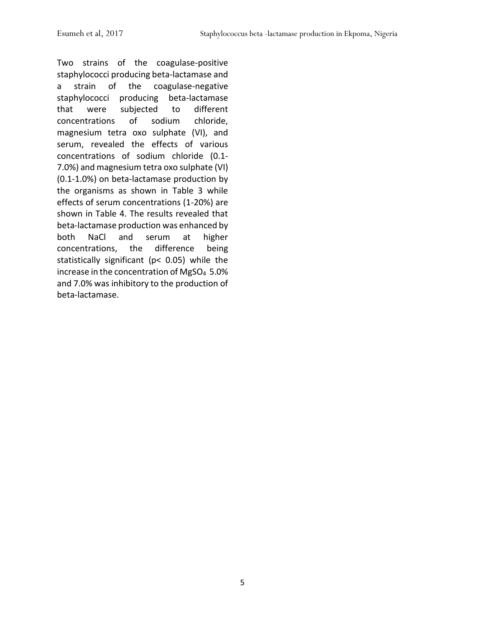Two strains of the coagulase-positive staphylococci producing beta-lactamase and a strain of the coagulase-negative staphylococci producing beta-lactamase that were subjected to different concentrations of sodium chloride, magnesium tetra oxo sulphate (VI), and serum, revealed the effects of various concentrations of sodium chloride (0.1- 7.0%) and magnesium tetra oxo sulphate (VI) (0.1-1.0%) on beta-lactamase production by the organisms as shown in Table 3 while effects of serum concentrations (1-20%) are shown in Table 4. The results revealed that beta-lactamase production was enhanced by both NaCl and serum at higher concentrations, the difference being statistically significant (p< 0.05) while the increase in the concentration of MgSO4 5.0% and 7.0% was inhibitory to the production of beta-lactamase.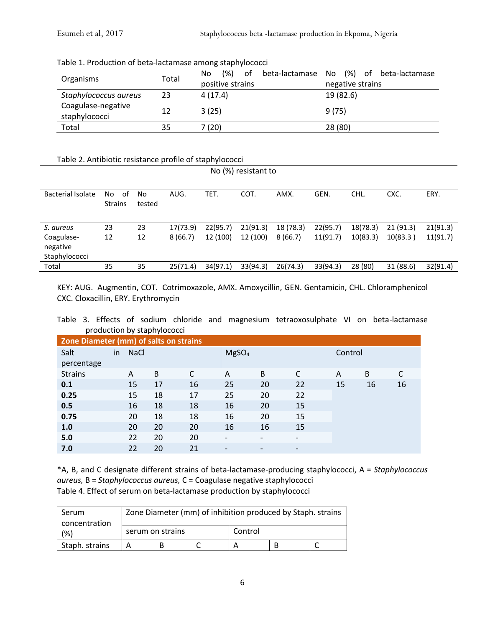|  |  | Table 1. Production of beta-lactamase among staphylococci |
|--|--|-----------------------------------------------------------|
|--|--|-----------------------------------------------------------|

| Organisms             | Total | (% )<br>of<br>No. | beta-lactamase No (%) of beta-lactamase |  |
|-----------------------|-------|-------------------|-----------------------------------------|--|
|                       |       | positive strains  | negative strains                        |  |
| Staphylococcus aureus | 23    | 4(17.4)           | 19 (82.6)                               |  |
| Coagulase-negative    | 12    | 3(25)             | 9(75)                                   |  |
| staphylococci         |       |                   |                                         |  |
| Total                 | 35    | 7 (20)            | 28 (80)                                 |  |

#### Table 2. Antibiotic resistance profile of staphylococci

| No (%) resistant to |                |        |          |          |          |           |          |          |           |          |
|---------------------|----------------|--------|----------|----------|----------|-----------|----------|----------|-----------|----------|
|                     |                |        |          |          |          |           |          |          |           |          |
| Bacterial Isolate   | No<br>of       | No     | AUG.     | TET.     | COT.     | AMX.      | GEN.     | CHL.     | CXC.      | ERY.     |
|                     | <b>Strains</b> | tested |          |          |          |           |          |          |           |          |
|                     |                |        |          |          |          |           |          |          |           |          |
| S. aureus           | 23             | 23     | 17(73.9) | 22(95.7) | 21(91.3) | 18 (78.3) | 22(95.7) | 18(78.3) | 21(91.3)  | 21(91.3) |
| Coagulase-          | 12             | 12     | 8(66.7)  | 12 (100) | 12 (100) | 8(66.7)   | 11(91.7) | 10(83.3) | 10(83.3)  | 11(91.7) |
| negative            |                |        |          |          |          |           |          |          |           |          |
| Staphylococci       |                |        |          |          |          |           |          |          |           |          |
| Total               | 35             | 35     | 25(71.4) | 34(97.1) | 33(94.3) | 26(74.3)  | 33(94.3) | 28 (80)  | 31 (88.6) | 32(91.4) |

KEY: AUG. Augmentin, COT. Cotrimoxazole, AMX. Amoxycillin, GEN. Gentamicin, CHL. Chloramphenicol CXC. Cloxacillin, ERY. Erythromycin

Table 3. Effects of sodium chloride and magnesium tetraoxosulphate VI on beta-lactamase production by staphylococci

|                                        |    | . <b>.</b>  |    |    |                          |    |                          |         |    |    |  |  |
|----------------------------------------|----|-------------|----|----|--------------------------|----|--------------------------|---------|----|----|--|--|
| Zone Diameter (mm) of salts on strains |    |             |    |    |                          |    |                          |         |    |    |  |  |
| Salt                                   | in | <b>NaCl</b> |    |    | MgSO <sub>4</sub>        |    |                          | Control |    |    |  |  |
| percentage                             |    |             |    |    |                          |    |                          |         |    |    |  |  |
| <b>Strains</b>                         |    | A           | B  |    | A                        | B  | C                        | A       | B  |    |  |  |
| 0.1                                    |    | 15          | 17 | 16 | 25                       | 20 | 22                       | 15      | 16 | 16 |  |  |
| 0.25                                   |    | 15          | 18 | 17 | 25                       | 20 | 22                       |         |    |    |  |  |
| 0.5                                    |    | 16          | 18 | 18 | 16                       | 20 | 15                       |         |    |    |  |  |
| 0.75                                   |    | 20          | 18 | 18 | 16                       | 20 | 15                       |         |    |    |  |  |
| 1.0                                    |    | 20          | 20 | 20 | 16                       | 16 | 15                       |         |    |    |  |  |
| 5.0                                    |    | 22          | 20 | 20 | $\overline{\phantom{a}}$ |    | $\overline{\phantom{0}}$ |         |    |    |  |  |
| 7.0                                    |    | 22          | 20 | 21 |                          |    | $\overline{\phantom{a}}$ |         |    |    |  |  |
|                                        |    |             |    |    |                          |    |                          |         |    |    |  |  |

\*A, B, and C designate different strains of beta-lactamase-producing staphylococci, A = *Staphylococcus aureus,* B = *Staphylococcus aureus,* C = Coagulase negative staphylococci Table 4. Effect of serum on beta-lactamase production by staphylococci

| Serum                 | Zone Diameter (mm) of inhibition produced by Staph. strains |                  |  |         |  |   |  |  |  |
|-----------------------|-------------------------------------------------------------|------------------|--|---------|--|---|--|--|--|
| concentration<br>(% ) |                                                             | serum on strains |  | Control |  |   |  |  |  |
| Staph. strains        |                                                             |                  |  |         |  | B |  |  |  |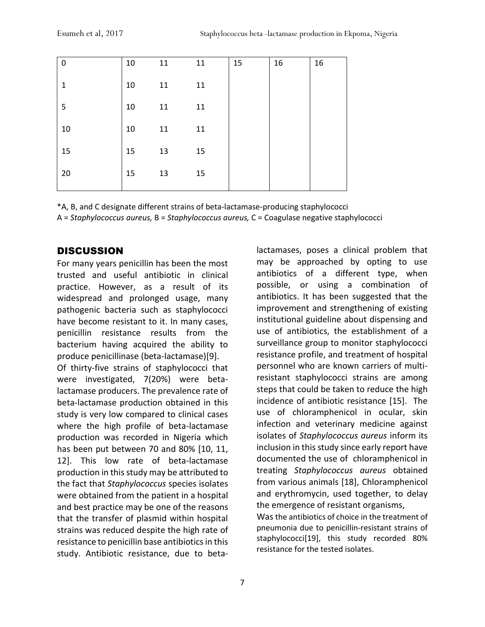| 0            | 10 | 11 | 11 | 15 | 16 | 16 |
|--------------|----|----|----|----|----|----|
| $\mathbf{1}$ | 10 | 11 | 11 |    |    |    |
| 5            | 10 | 11 | 11 |    |    |    |
| 10           | 10 | 11 | 11 |    |    |    |
| 15           | 15 | 13 | 15 |    |    |    |
| 20           | 15 | 13 | 15 |    |    |    |
|              |    |    |    |    |    |    |

\*A, B, and C designate different strains of beta-lactamase-producing staphylococci

A = *Staphylococcus aureus,* B = *Staphylococcus aureus,* C = Coagulase negative staphylococci

# **DISCUSSION**

For many years penicillin has been the most trusted and useful antibiotic in clinical practice. However, as a result of its widespread and prolonged usage, many pathogenic bacteria such as staphylococci have become resistant to it. In many cases, penicillin resistance results from the bacterium having acquired the ability to produce penicillinase (beta-lactamase)[9].

Of thirty-five strains of staphylococci that were investigated, 7(20%) were betalactamase producers. The prevalence rate of beta-lactamase production obtained in this study is very low compared to clinical cases where the high profile of beta-lactamase production was recorded in Nigeria which has been put between 70 and 80% [10, 11, 12]. This low rate of beta-lactamase production in this study may be attributed to the fact that *Staphylococcus* species isolates were obtained from the patient in a hospital and best practice may be one of the reasons that the transfer of plasmid within hospital strains was reduced despite the high rate of resistance to penicillin base antibiotics in this study. Antibiotic resistance, due to betalactamases, poses a clinical problem that may be approached by opting to use antibiotics of a different type, when possible, or using a combination of antibiotics. It has been suggested that the improvement and strengthening of existing institutional guideline about dispensing and use of antibiotics, the establishment of a surveillance group to monitor staphylococci resistance profile, and treatment of hospital personnel who are known carriers of multiresistant staphylococci strains are among steps that could be taken to reduce the high incidence of antibiotic resistance [15]. The use of chloramphenicol in ocular, skin infection and veterinary medicine against isolates of *Staphylococcus aureus* inform its inclusion in this study since early report have documented the use of chloramphenicol in treating *Staphylococcus aureus* obtained from various animals [18], Chloramphenicol and erythromycin, used together, to delay the emergence of resistant organisms,

Was the antibiotics of choice in the treatment of pneumonia due to penicillin-resistant strains of staphylococci[19], this study recorded 80% resistance for the tested isolates.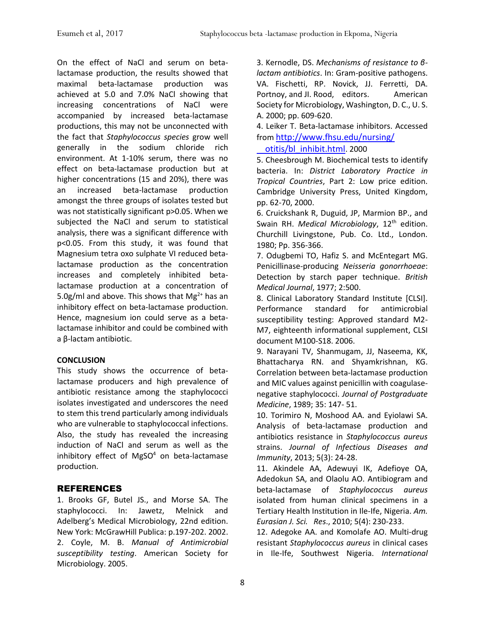On the effect of NaCl and serum on betalactamase production, the results showed that maximal beta-lactamase production was achieved at 5.0 and 7.0% NaCl showing that increasing concentrations of NaCl were accompanied by increased beta-lactamase productions, this may not be unconnected with the fact that *Staphylococcus species* grow well generally in the sodium chloride rich environment. At 1-10% serum, there was no effect on beta-lactamase production but at higher concentrations (15 and 20%), there was an increased beta-lactamase production amongst the three groups of isolates tested but was not statistically significant p>0.05. When we subjected the NaCl and serum to statistical analysis, there was a significant difference with p<0.05. From this study, it was found that Magnesium tetra oxo sulphate VI reduced betalactamase production as the concentration increases and completely inhibited betalactamase production at a concentration of 5.0g/ml and above. This shows that  $Mg^{2+}$  has an inhibitory effect on beta-lactamase production. Hence, magnesium ion could serve as a betalactamase inhibitor and could be combined with a β-lactam antibiotic.

#### **CONCLUSION**

This study shows the occurrence of betalactamase producers and high prevalence of antibiotic resistance among the staphylococci isolates investigated and underscores the need to stem this trend particularly among individuals who are vulnerable to staphylococcal infections. Also, the study has revealed the increasing induction of NaCl and serum as well as the inhibitory effect of  $MgSO<sup>4</sup>$  on beta-lactamase production.

#### REFERENCES

1. Brooks GF, Butel JS., and Morse SA. The staphylococci. In: Jawetz, Melnick and Adelberg's Medical Microbiology, 22nd edition. New York: McGrawHill Publica: p.197-202. 2002. 2. Coyle, M. B. *Manual of Antimicrobial susceptibility testing*. American Society for Microbiology. 2005.

3. Kernodle, DS. *Mechanisms of resistance to βlactam antibiotics*. In: Gram-positive pathogens. VA. Fischetti, RP. Novick, JJ. Ferretti, DA. Portnoy, and Jl. Rood, editors. American Society for Microbiology, Washington, D. C., U. S. A. 2000; pp. 609-620.

4. Leiker T. Beta-lactamase inhibitors. Accessed from [http://www.fhsu.edu/nursing/](http://www.fhsu.edu/nursing/%20%20%20%20%20%20%20%20%20otitis/bl_inhibit.html) 

 [otitis/bl\\_inhibit.html](http://www.fhsu.edu/nursing/%20%20%20%20%20%20%20%20%20otitis/bl_inhibit.html). 2000

5. Cheesbrough M. Biochemical tests to identify bacteria. In: *District Laboratory Practice in Tropical Countries*, Part 2: Low price edition. Cambridge University Press, United Kingdom, pp. 62-70, 2000.

6. Cruickshank R, Duguid, JP, Marmion BP., and Swain RH. *Medical Microbiology*, 12<sup>th</sup> edition. Churchill Livingstone, Pub. Co. Ltd., London. 1980; Pp. 356-366.

7. Odugbemi TO, Hafiz S. and McEntegart MG. Penicillinase-producing *Neisseria gonorrhoeae*: Detection by starch paper technique. *British Medical Journal*, 1977; 2:500.

8. Clinical Laboratory Standard Institute [CLSI]. Performance standard for antimicrobial susceptibility testing: Approved standard M2- M7, eighteenth informational supplement, CLSI document M100-S18. 2006.

9. Narayani TV, Shanmugam, JJ, Naseema, KK, Bhattacharya RN. and Shyamkrishnan, KG. Correlation between beta-lactamase production and MIC values against penicillin with coagulasenegative staphylococci. *Journal of Postgraduate Medicine*, 1989; 35: 147- 51.

10. Torimiro N, Moshood AA. and Eyiolawi SA. Analysis of beta-lactamase production and antibiotics resistance in *Staphylococcus aureus* strains. *Journal of Infectious Diseases and Immunity*, 2013; 5(3): 24-28.

11. Akindele AA, Adewuyi IK, Adefioye OA, Adedokun SA, and Olaolu AO. Antibiogram and beta-lactamase of *Staphylococcus aureus* isolated from human clinical specimens in a Tertiary Health Institution in Ile-Ife, Nigeria. *Am. Eurasian J. Sci. Res*., 2010; 5(4): 230-233.

12. Adegoke AA. and Komolafe AO. Multi-drug resistant *Staphylococcus aureus* in clinical cases in Ile-Ife, Southwest Nigeria. *International*